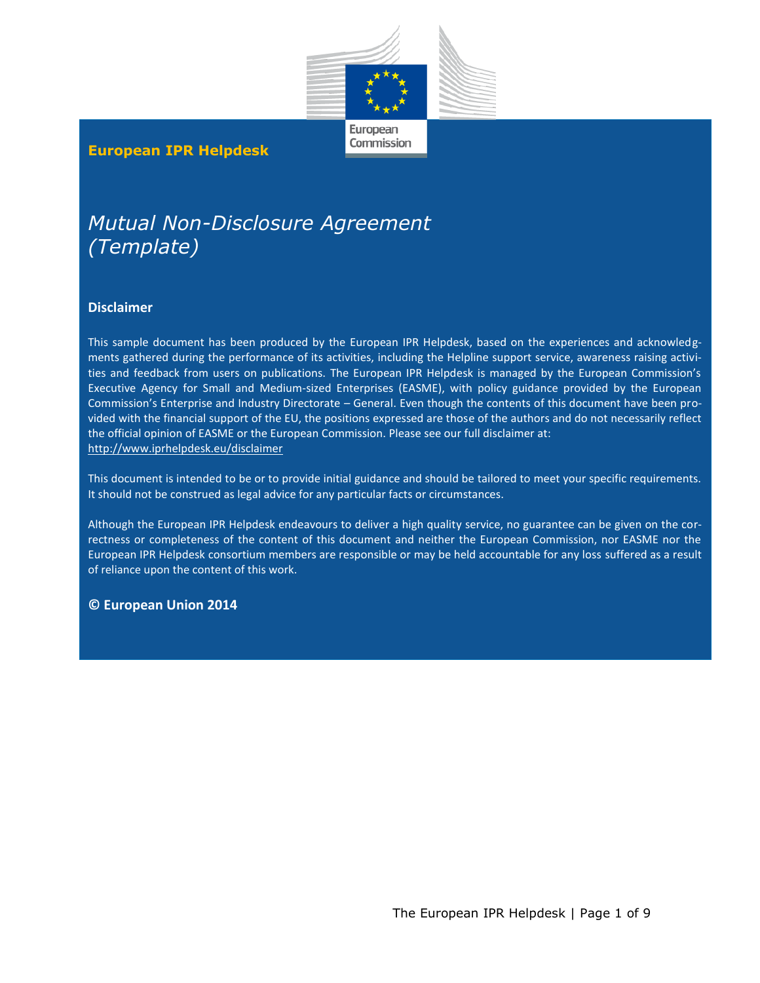

European Commission

#### **European IPR Helpdesk**

# *Mutual Non-Disclosure Agreement (Template)*

#### **Disclaimer**

This sample document has been produced by the European IPR Helpdesk, based on the experiences and acknowledgments gathered during the performance of its activities, including the Helpline support service, awareness raising activities and feedback from users on publications. The European IPR Helpdesk is managed by the European Commission's Executive Agency for Small and Medium-sized Enterprises (EASME), with policy guidance provided by the European Commission's Enterprise and Industry Directorate – General. Even though the contents of this document have been provided with the financial support of the EU, the positions expressed are those of the authors and do not necessarily reflect the official opinion of EASME or the European Commission. Please see our full disclaimer at: <http://www.iprhelpdesk.eu/disclaimer>

This document is intended to be or to provide initial guidance and should be tailored to meet your specific requirements. It should not be construed as legal advice for any particular facts or circumstances.

Although the European IPR Helpdesk endeavours to deliver a high quality service, no guarantee can be given on the correctness or completeness of the content of this document and neither the European Commission, nor EASME nor the European IPR Helpdesk consortium members are responsible or may be held accountable for any loss suffered as a result of reliance upon the content of this work.

#### **© European Union 2014**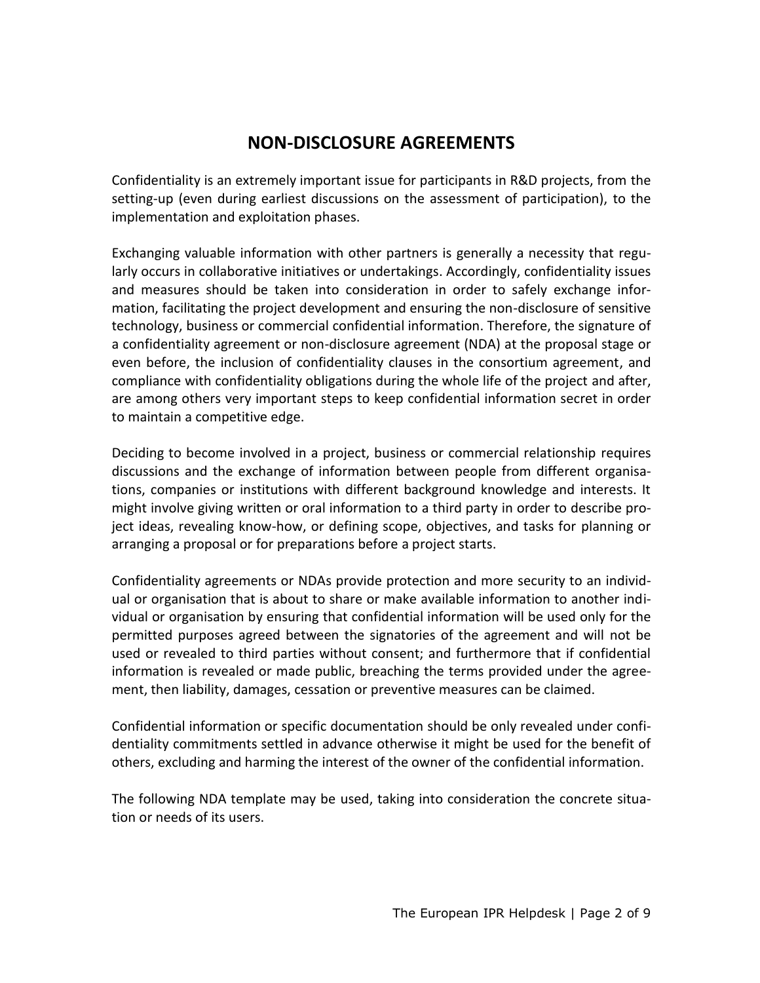## **NON-DISCLOSURE AGREEMENTS**

Confidentiality is an extremely important issue for participants in R&D projects, from the setting-up (even during earliest discussions on the assessment of participation), to the implementation and exploitation phases.

Exchanging valuable information with other partners is generally a necessity that regularly occurs in collaborative initiatives or undertakings. Accordingly, confidentiality issues and measures should be taken into consideration in order to safely exchange information, facilitating the project development and ensuring the non-disclosure of sensitive technology, business or commercial confidential information. Therefore, the signature of a confidentiality agreement or non-disclosure agreement (NDA) at the proposal stage or even before, the inclusion of confidentiality clauses in the consortium agreement, and compliance with confidentiality obligations during the whole life of the project and after, are among others very important steps to keep confidential information secret in order to maintain a competitive edge.

Deciding to become involved in a project, business or commercial relationship requires discussions and the exchange of information between people from different organisations, companies or institutions with different background knowledge and interests. It might involve giving written or oral information to a third party in order to describe project ideas, revealing know-how, or defining scope, objectives, and tasks for planning or arranging a proposal or for preparations before a project starts.

Confidentiality agreements or NDAs provide protection and more security to an individual or organisation that is about to share or make available information to another individual or organisation by ensuring that confidential information will be used only for the permitted purposes agreed between the signatories of the agreement and will not be used or revealed to third parties without consent; and furthermore that if confidential information is revealed or made public, breaching the terms provided under the agreement, then liability, damages, cessation or preventive measures can be claimed.

Confidential information or specific documentation should be only revealed under confidentiality commitments settled in advance otherwise it might be used for the benefit of others, excluding and harming the interest of the owner of the confidential information.

The following NDA template may be used, taking into consideration the concrete situation or needs of its users.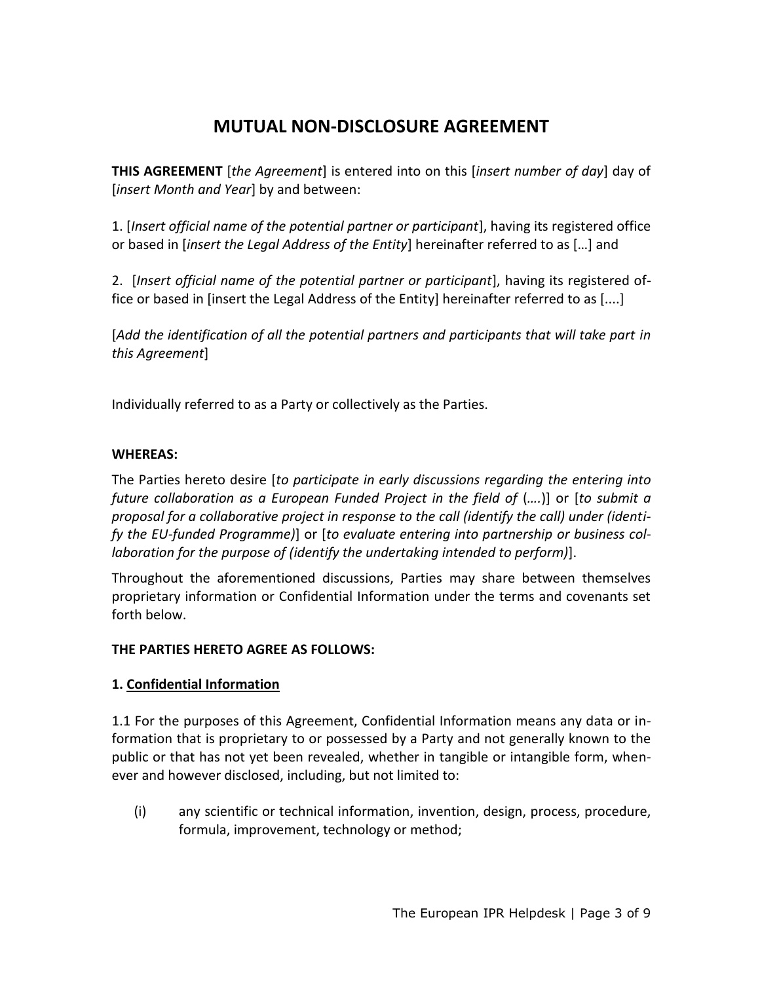## **MUTUAL NON-DISCLOSURE AGREEMENT**

**THIS AGREEMENT** [*the Agreement*] is entered into on this [*insert number of day*] day of [*insert Month and Year*] by and between:

1. [*Insert official name of the potential partner or participant*], having its registered office or based in [*insert the Legal Address of the Entity*] hereinafter referred to as […] and

2. [*Insert official name of the potential partner or participant*], having its registered office or based in [insert the Legal Address of the Entity] hereinafter referred to as [....]

[*Add the identification of all the potential partners and participants that will take part in this Agreement*]

Individually referred to as a Party or collectively as the Parties.

#### **WHEREAS:**

The Parties hereto desire [*to participate in early discussions regarding the entering into future collaboration as a European Funded Project in the field of* (*….*)] or [*to submit a proposal for a collaborative project in response to the call (identify the call) under (identify the EU-funded Programme)*] or [*to evaluate entering into partnership or business collaboration for the purpose of (identify the undertaking intended to perform)*].

Throughout the aforementioned discussions, Parties may share between themselves proprietary information or Confidential Information under the terms and covenants set forth below.

### **THE PARTIES HERETO AGREE AS FOLLOWS:**

### **1. Confidential Information**

1.1 For the purposes of this Agreement, Confidential Information means any data or information that is proprietary to or possessed by a Party and not generally known to the public or that has not yet been revealed, whether in tangible or intangible form, whenever and however disclosed, including, but not limited to:

(i) any scientific or technical information, invention, design, process, procedure, formula, improvement, technology or method;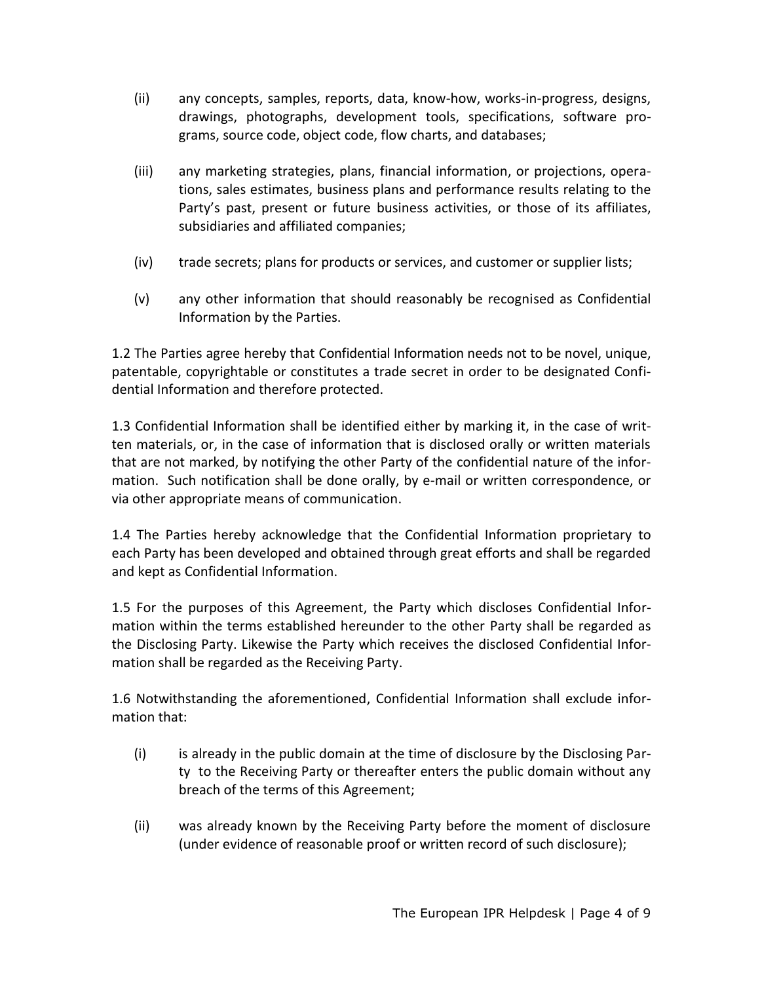- (ii) any concepts, samples, reports, data, know-how, works-in-progress, designs, drawings, photographs, development tools, specifications, software programs, source code, object code, flow charts, and databases;
- (iii) any marketing strategies, plans, financial information, or projections, operations, sales estimates, business plans and performance results relating to the Party's past, present or future business activities, or those of its affiliates, subsidiaries and affiliated companies;
- (iv) trade secrets; plans for products or services, and customer or supplier lists;
- (v) any other information that should reasonably be recognised as Confidential Information by the Parties.

1.2 The Parties agree hereby that Confidential Information needs not to be novel, unique, patentable, copyrightable or constitutes a trade secret in order to be designated Confidential Information and therefore protected.

1.3 Confidential Information shall be identified either by marking it, in the case of written materials, or, in the case of information that is disclosed orally or written materials that are not marked, by notifying the other Party of the confidential nature of the information. Such notification shall be done orally, by e-mail or written correspondence, or via other appropriate means of communication.

1.4 The Parties hereby acknowledge that the Confidential Information proprietary to each Party has been developed and obtained through great efforts and shall be regarded and kept as Confidential Information.

1.5 For the purposes of this Agreement, the Party which discloses Confidential Information within the terms established hereunder to the other Party shall be regarded as the Disclosing Party. Likewise the Party which receives the disclosed Confidential Information shall be regarded as the Receiving Party.

1.6 Notwithstanding the aforementioned, Confidential Information shall exclude information that:

- (i) is already in the public domain at the time of disclosure by the Disclosing Party to the Receiving Party or thereafter enters the public domain without any breach of the terms of this Agreement;
- (ii) was already known by the Receiving Party before the moment of disclosure (under evidence of reasonable proof or written record of such disclosure);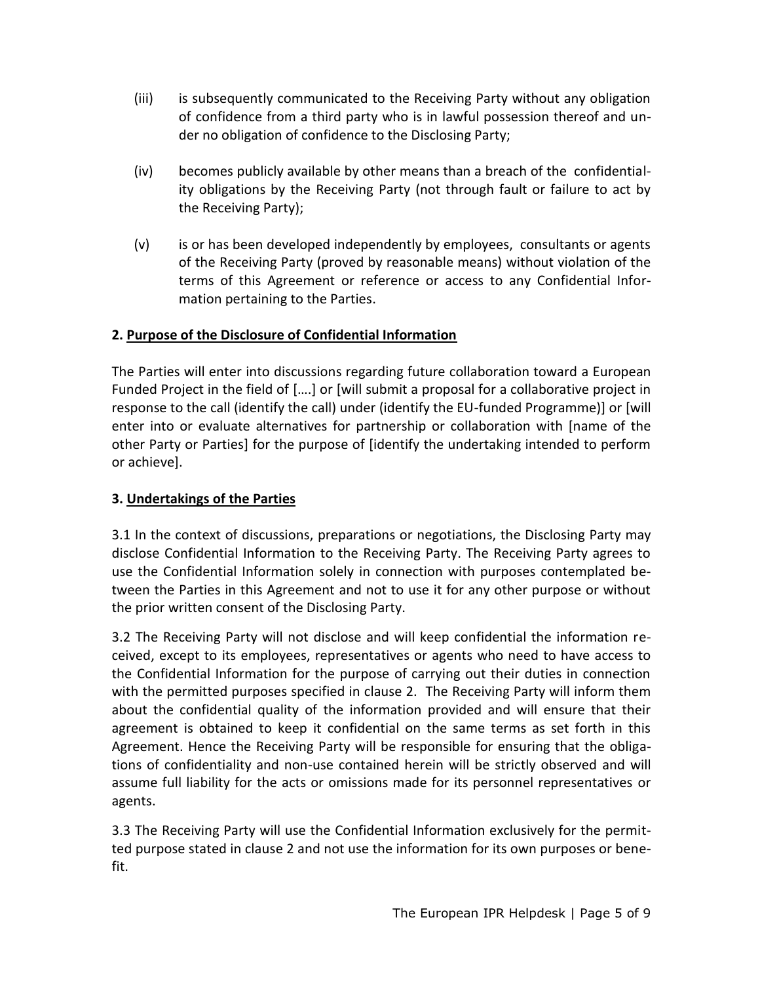- (iii) is subsequently communicated to the Receiving Party without any obligation of confidence from a third party who is in lawful possession thereof and under no obligation of confidence to the Disclosing Party;
- (iv) becomes publicly available by other means than a breach of the confidentiality obligations by the Receiving Party (not through fault or failure to act by the Receiving Party);
- (v) is or has been developed independently by employees, consultants or agents of the Receiving Party (proved by reasonable means) without violation of the terms of this Agreement or reference or access to any Confidential Information pertaining to the Parties.

#### **2. Purpose of the Disclosure of Confidential Information**

The Parties will enter into discussions regarding future collaboration toward a European Funded Project in the field of [….] or [will submit a proposal for a collaborative project in response to the call (identify the call) under (identify the EU-funded Programme)] or [will enter into or evaluate alternatives for partnership or collaboration with [name of the other Party or Parties] for the purpose of [identify the undertaking intended to perform or achieve].

#### **3. Undertakings of the Parties**

3.1 In the context of discussions, preparations or negotiations, the Disclosing Party may disclose Confidential Information to the Receiving Party. The Receiving Party agrees to use the Confidential Information solely in connection with purposes contemplated between the Parties in this Agreement and not to use it for any other purpose or without the prior written consent of the Disclosing Party.

3.2 The Receiving Party will not disclose and will keep confidential the information received, except to its employees, representatives or agents who need to have access to the Confidential Information for the purpose of carrying out their duties in connection with the permitted purposes specified in clause 2. The Receiving Party will inform them about the confidential quality of the information provided and will ensure that their agreement is obtained to keep it confidential on the same terms as set forth in this Agreement. Hence the Receiving Party will be responsible for ensuring that the obligations of confidentiality and non-use contained herein will be strictly observed and will assume full liability for the acts or omissions made for its personnel representatives or agents.

3.3 The Receiving Party will use the Confidential Information exclusively for the permitted purpose stated in clause 2 and not use the information for its own purposes or benefit.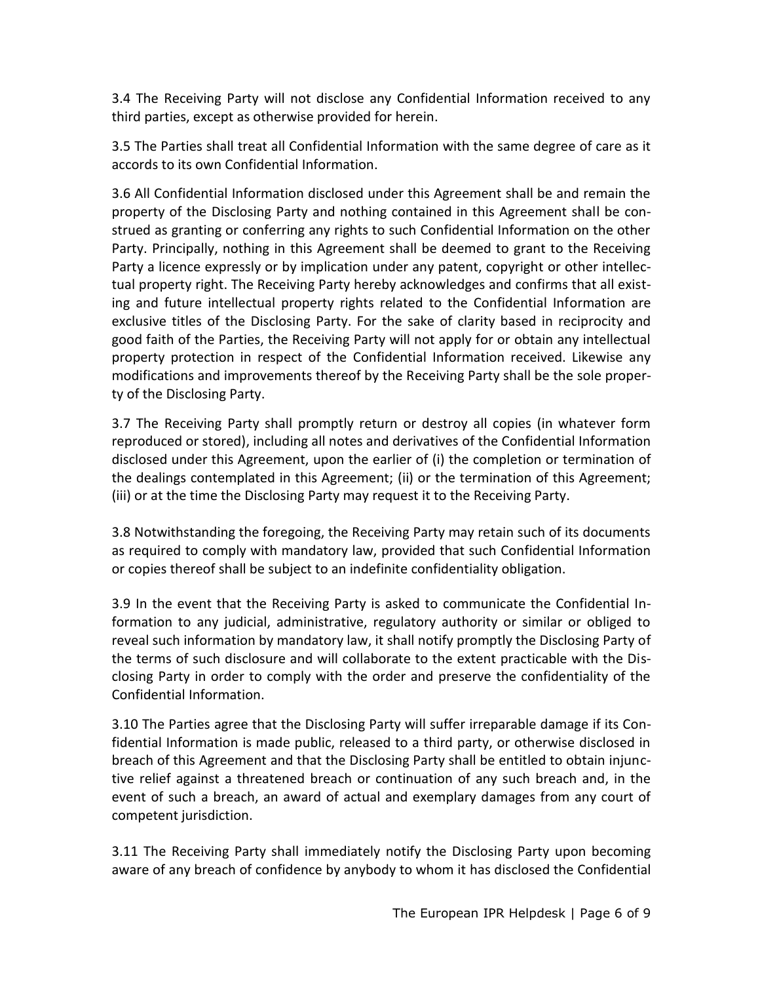3.4 The Receiving Party will not disclose any Confidential Information received to any third parties, except as otherwise provided for herein.

3.5 The Parties shall treat all Confidential Information with the same degree of care as it accords to its own Confidential Information.

3.6 All Confidential Information disclosed under this Agreement shall be and remain the property of the Disclosing Party and nothing contained in this Agreement shall be construed as granting or conferring any rights to such Confidential Information on the other Party. Principally, nothing in this Agreement shall be deemed to grant to the Receiving Party a licence expressly or by implication under any patent, copyright or other intellectual property right. The Receiving Party hereby acknowledges and confirms that all existing and future intellectual property rights related to the Confidential Information are exclusive titles of the Disclosing Party. For the sake of clarity based in reciprocity and good faith of the Parties, the Receiving Party will not apply for or obtain any intellectual property protection in respect of the Confidential Information received. Likewise any modifications and improvements thereof by the Receiving Party shall be the sole property of the Disclosing Party.

3.7 The Receiving Party shall promptly return or destroy all copies (in whatever form reproduced or stored), including all notes and derivatives of the Confidential Information disclosed under this Agreement, upon the earlier of (i) the completion or termination of the dealings contemplated in this Agreement; (ii) or the termination of this Agreement; (iii) or at the time the Disclosing Party may request it to the Receiving Party.

3.8 Notwithstanding the foregoing, the Receiving Party may retain such of its documents as required to comply with mandatory law, provided that such Confidential Information or copies thereof shall be subject to an indefinite confidentiality obligation.

3.9 In the event that the Receiving Party is asked to communicate the Confidential Information to any judicial, administrative, regulatory authority or similar or obliged to reveal such information by mandatory law, it shall notify promptly the Disclosing Party of the terms of such disclosure and will collaborate to the extent practicable with the Disclosing Party in order to comply with the order and preserve the confidentiality of the Confidential Information.

3.10 The Parties agree that the Disclosing Party will suffer irreparable damage if its Confidential Information is made public, released to a third party, or otherwise disclosed in breach of this Agreement and that the Disclosing Party shall be entitled to obtain injunctive relief against a threatened breach or continuation of any such breach and, in the event of such a breach, an award of actual and exemplary damages from any court of competent jurisdiction.

3.11 The Receiving Party shall immediately notify the Disclosing Party upon becoming aware of any breach of confidence by anybody to whom it has disclosed the Confidential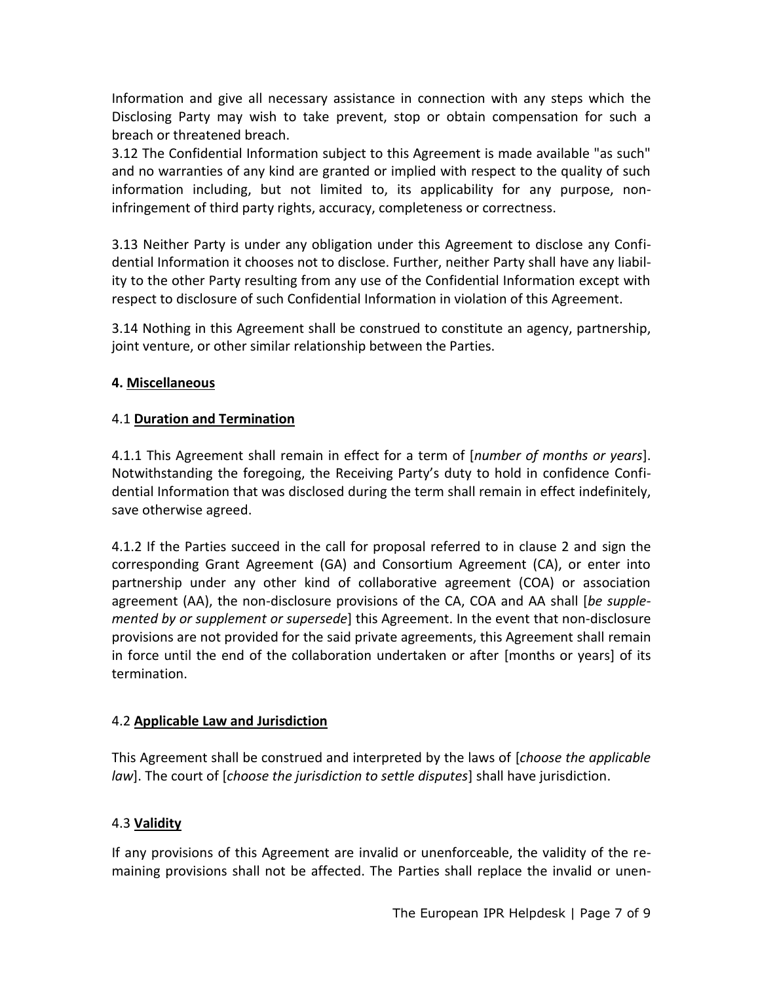Information and give all necessary assistance in connection with any steps which the Disclosing Party may wish to take prevent, stop or obtain compensation for such a breach or threatened breach.

3.12 The Confidential Information subject to this Agreement is made available "as such" and no warranties of any kind are granted or implied with respect to the quality of such information including, but not limited to, its applicability for any purpose, noninfringement of third party rights, accuracy, completeness or correctness.

3.13 Neither Party is under any obligation under this Agreement to disclose any Confidential Information it chooses not to disclose. Further, neither Party shall have any liability to the other Party resulting from any use of the Confidential Information except with respect to disclosure of such Confidential Information in violation of this Agreement.

3.14 Nothing in this Agreement shall be construed to constitute an agency, partnership, joint venture, or other similar relationship between the Parties.

#### **4. Miscellaneous**

#### 4.1 **Duration and Termination**

4.1.1 This Agreement shall remain in effect for a term of [*number of months or years*]. Notwithstanding the foregoing, the Receiving Party's duty to hold in confidence Confidential Information that was disclosed during the term shall remain in effect indefinitely, save otherwise agreed.

4.1.2 If the Parties succeed in the call for proposal referred to in clause 2 and sign the corresponding Grant Agreement (GA) and Consortium Agreement (CA), or enter into partnership under any other kind of collaborative agreement (COA) or association agreement (AA), the non-disclosure provisions of the CA, COA and AA shall [*be supplemented by or supplement or supersede*] this Agreement. In the event that non-disclosure provisions are not provided for the said private agreements, this Agreement shall remain in force until the end of the collaboration undertaken or after [months or years] of its termination.

#### 4.2 **Applicable Law and Jurisdiction**

This Agreement shall be construed and interpreted by the laws of [*choose the applicable law*]. The court of [*choose the jurisdiction to settle disputes*] shall have jurisdiction.

### 4.3 **Validity**

If any provisions of this Agreement are invalid or unenforceable, the validity of the remaining provisions shall not be affected. The Parties shall replace the invalid or unen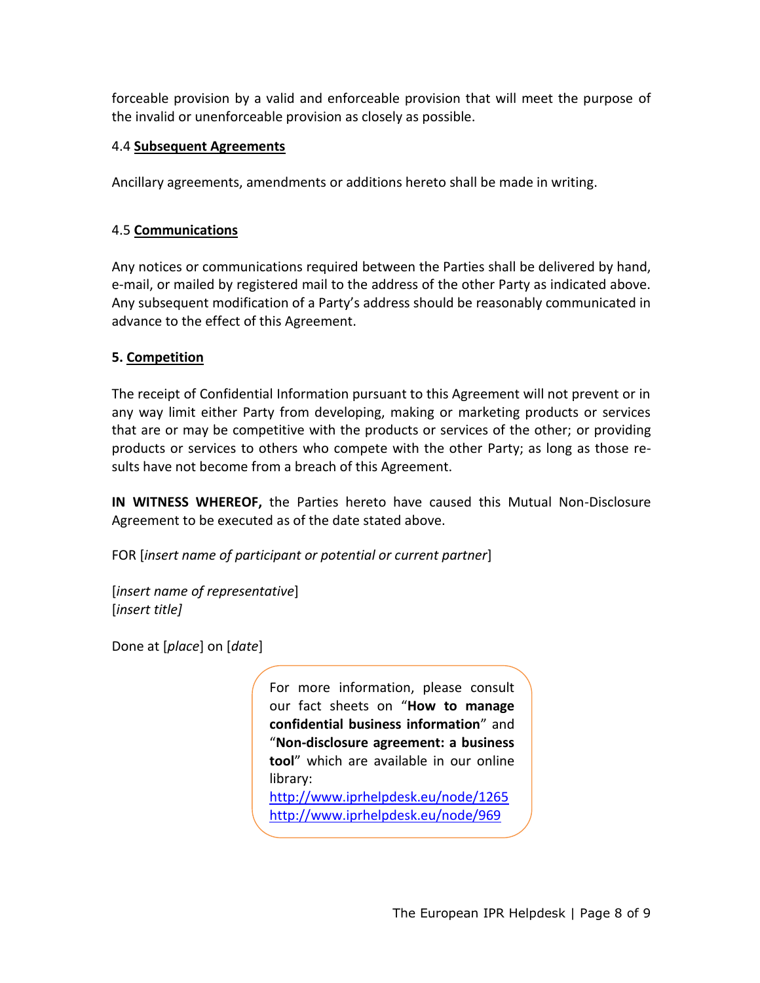forceable provision by a valid and enforceable provision that will meet the purpose of the invalid or unenforceable provision as closely as possible.

#### 4.4 **Subsequent Agreements**

Ancillary agreements, amendments or additions hereto shall be made in writing.

#### 4.5 **Communications**

Any notices or communications required between the Parties shall be delivered by hand, e-mail, or mailed by registered mail to the address of the other Party as indicated above. Any subsequent modification of a Party's address should be reasonably communicated in advance to the effect of this Agreement.

#### **5. Competition**

The receipt of Confidential Information pursuant to this Agreement will not prevent or in any way limit either Party from developing, making or marketing products or services that are or may be competitive with the products or services of the other; or providing products or services to others who compete with the other Party; as long as those results have not become from a breach of this Agreement.

**IN WITNESS WHEREOF,** the Parties hereto have caused this Mutual Non-Disclosure Agreement to be executed as of the date stated above.

FOR [*insert name of participant or potential or current partner*]

[*insert name of representative*] [*insert title]*

Done at [*place*] on [*date*]

For more information, please consult our fact sheets on "**How to manage confidential business information**" and "**Non-disclosure agreement: a business tool**" which are available in our online library: <http://www.iprhelpdesk.eu/node/1265> <http://www.iprhelpdesk.eu/node/969>